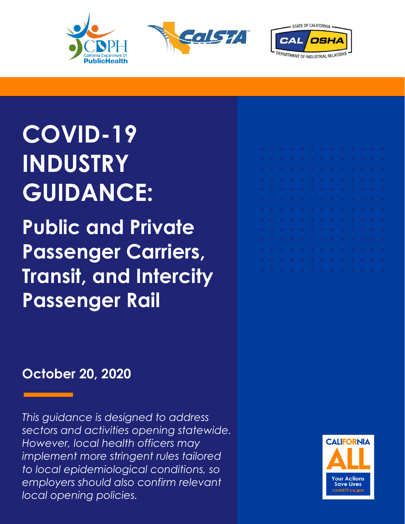





# **COVID-19 INDUSTRY GUIDANCE:**

**Public and Private Passenger Carriers, Transit, and Intercity Passenger Rail**

#### **October 20, 2020**

*This guidance is designed to address sectors and activities opening statewide. However, local health officers may implement more stringent rules tailored to local epidemiological conditions, so employers should also confirm relevant local opening policies.* 1999 **1999 1999 1999 1999 1999 1999 1999 1999 1999 1999 1999 1999 1999 1999 1999 1999 1999 1999 1999 1999 1999 1999 1999 1999 1999 1999 1999**

|  |  | . |  |  |  |  |  |
|--|--|---|--|--|--|--|--|
|  |  |   |  |  |  |  |  |
|  |  | . |  |  |  |  |  |
|  |  | . |  |  |  |  |  |
|  |  | . |  |  |  |  |  |
|  |  |   |  |  |  |  |  |
|  |  |   |  |  |  |  |  |
|  |  |   |  |  |  |  |  |
|  |  |   |  |  |  |  |  |
|  |  |   |  |  |  |  |  |
|  |  |   |  |  |  |  |  |
|  |  | . |  |  |  |  |  |
|  |  |   |  |  |  |  |  |

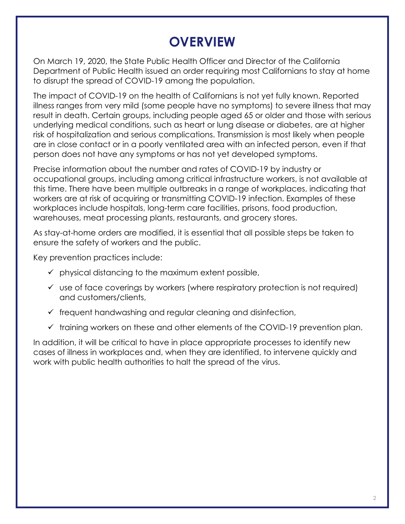### **OVERVIEW**

On March 19, 2020, the State Public Health Officer and Director of the California Department of Public Health issued an order requiring most Californians to stay at home to disrupt the spread of COVID-19 among the population.

The impact of COVID-19 on the health of Californians is not yet fully known. Reported illness ranges from very mild (some people have no symptoms) to severe illness that may result in death. Certain groups, including people aged 65 or older and those with serious underlying medical conditions, such as heart or lung disease or diabetes, are at higher risk of hospitalization and serious complications. Transmission is most likely when people are in close contact or in a poorly ventilated area with an infected person, even if that person does not have any symptoms or has not yet developed symptoms.

Precise information about the number and rates of COVID-19 by industry or occupational groups, including among critical infrastructure workers, is not available at this time. There have been multiple outbreaks in a range of workplaces, indicating that workers are at risk of acquiring or transmitting COVID-19 infection. Examples of these workplaces include hospitals, long-term care facilities, prisons, food production, warehouses, meat processing plants, restaurants, and grocery stores.

As stay-at-home orders are modified, it is essential that all possible steps be taken to ensure the safety of workers and the public.

Key prevention practices include:

- $\checkmark$  physical distancing to the maximum extent possible,
- $\checkmark$  use of face coverings by workers (where respiratory protection is not required) and customers/clients,
- $\checkmark$  frequent handwashing and regular cleaning and disinfection,
- $\checkmark$  training workers on these and other elements of the COVID-19 prevention plan.

In addition, it will be critical to have in place appropriate processes to identify new cases of illness in workplaces and, when they are identified, to intervene quickly and work with public health authorities to halt the spread of the virus.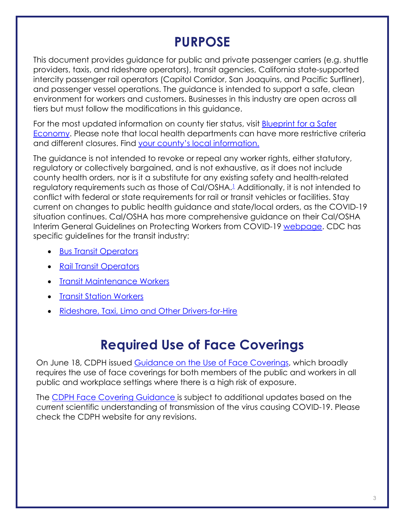#### **PURPOSE**

This document provides guidance for public and private passenger carriers (e.g. shuttle providers, taxis, and rideshare operators), transit agencies, California state-supported intercity passenger rail operators (Capitol Corridor, San Joaquins, and Pacific Surfliner), and passenger vessel operations. The guidance is intended to support a safe, clean environment for workers and customers. Businesses in this industry are open across all tiers but must follow the modifications in this guidance.

For the most updated information on county tier status, visit **Blueprint for a Safer** [Economy.](https://covid19.ca.gov/safer-economy/) Please note that local health departments can have more restrictive criteria and different closures. Find [your county's local information.](https://covid19.ca.gov/get-local-information/)

The guidance is not intended to revoke or repeal any worker rights, either statutory, regulatory or collectively bargained, and is not exhaustive, as it does not include county health orders, nor is it a substitute for any existing safety and health-related regulatory requirements such as those of Cal/OSHA.<sup>1</sup> Additionally, it is not intended to conflict with federal or state requirements for rail or transit vehicles or facilities. Stay current on changes to public health guidance and state/local orders, as the COVID-19 situation continues. Cal/OSHA has more comprehensive guidance on their Cal/OSHA Interim General Guidelines on Protecting Workers from COVID-19 [webpage.](https://www.dir.ca.gov/dosh/coronavirus/Health-Care-General-Industry.html) CDC has specific guidelines for the transit industry:

- [Bus Transit Operators](https://www.cdc.gov/coronavirus/2019-ncov/community/organizations/bus-transit-operator.html)
- [Rail Transit Operators](https://www.cdc.gov/coronavirus/2019-ncov/community/organizations/rail-transit-operator.html)
- [Transit Maintenance Workers](https://www.cdc.gov/coronavirus/2019-ncov/community/organizations/transit-maintenance-worker.html)
- [Transit Station Workers](https://www.cdc.gov/coronavirus/2019-ncov/community/organizations/transit-station-workers.html)
- [Rideshare, Taxi, Limo and Other Drivers-for-Hire](https://www.cdc.gov/coronavirus/2019-ncov/community/organizations/rideshare-drivers-for-hire.html)

#### **Required Use of Face Coverings**

On June 18, CDPH issued [Guidance on the Use of Face Coverings,](https://www.cdph.ca.gov/Programs/CID/DCDC/CDPH%20Document%20Library/COVID-19/Guidance-for-Face-Coverings_06-18-2020.pdf) which broadly requires the use of face coverings for both members of the public and workers in all public and workplace settings where there is a high risk of exposure.

The [CDPH Face Covering Guidance](https://www.cdph.ca.gov/Programs/CID/DCDC/CDPH%20Document%20Library/COVID-19/Guidance-for-Face-Coverings_06-18-2020.pdf) is subject to additional updates based on the current scientific understanding of transmission of the virus causing COVID-19. Please check the CDPH website for any revisions.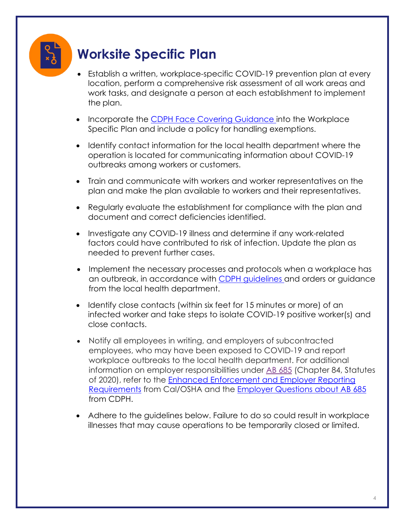# **Worksite Specific Plan**

- Establish a written, workplace-specific COVID-19 prevention plan at every location, perform a comprehensive risk assessment of all work areas and work tasks, and designate a person at each establishment to implement the plan.
- Incorporate the [CDPH Face Covering Guidance](https://www.cdph.ca.gov/Programs/CID/DCDC/CDPH%20Document%20Library/COVID-19/Guidance-for-Face-Coverings_06-18-2020.pdf) into the Workplace Specific Plan and include a policy for handling exemptions.
- Identify contact information for the local health department where the operation is located for communicating information about COVID-19 outbreaks among workers or customers.
- Train and communicate with workers and worker representatives on the plan and make the plan available to workers and their representatives.
- Regularly evaluate the establishment for compliance with the plan and document and correct deficiencies identified.
- Investigate any COVID-19 illness and determine if any work-related factors could have contributed to risk of infection. Update the plan as needed to prevent further cases.
- Implement the necessary processes and protocols when a workplace has an outbreak, in accordance with [CDPH guidelines](https://www.cdph.ca.gov/Programs/CID/DCDC/Pages/COVID-19/Workplace-Outbreak-Employer-Guidance.aspx) and orders or guidance from the local health department.
- Identify close contacts (within six feet for 15 minutes or more) of an infected worker and take steps to isolate COVID-19 positive worker(s) and close contacts.
- Notify all employees in writing, and employers of subcontracted employees, who may have been exposed to COVID-19 and report workplace outbreaks to the local health department. For additional information on employer responsibilities under [AB 685](https://urldefense.proofpoint.com/v2/url?u=https-3A__leginfo.legislature.ca.gov_faces_billTextClient.xhtml-3Fbill-5Fid-3D201920200AB685&d=DwMFAg&c=Lr0a7ed3egkbwePCNW4ROg&r=C6zqYOEeTf0qw4jl4bz2LIlz4L9ktAavxlnr2reaKRg&m=H345TtSnj5oFsANYVGYpWlnWgImZAEDCU6e5GLVCg0A&s=kQWvajOn7GeL4LiOA03328H-q8cG98GIgkEsiFmtBaE&e=) (Chapter 84, Statutes of 2020), refer to the [Enhanced Enforcement and Employer Reporting](https://www.dir.ca.gov/dosh/coronavirus/AB6852020FAQs.html) [Requirements](https://www.dir.ca.gov/dosh/coronavirus/AB6852020FAQs.html) from Cal/OSHA and the [Employer Questions about AB 685](https://www.cdph.ca.gov/Programs/CID/DCDC/Pages/COVID-19/Employer-Questions-about-AB-685.aspx) from CDPH.
- Adhere to the guidelines below. Failure to do so could result in workplace illnesses that may cause operations to be temporarily closed or limited.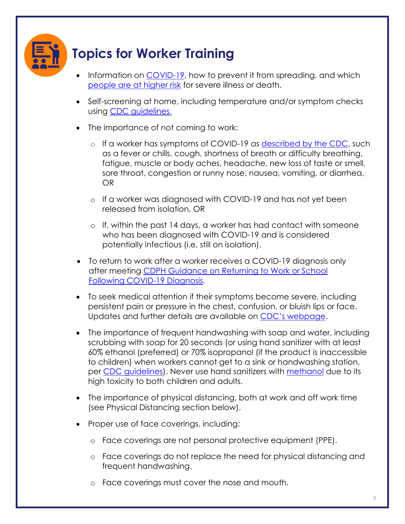

# **Topics for Worker Training**

- Information on [COVID-19,](https://www.cdc.gov/coronavirus/2019-ncov/index.html) how to prevent it from spreading, and which [people are at higher risk](https://www.cdc.gov/coronavirus/2019-ncov/need-extra-precautions/people-at-increased-risk.html) for severe illness or death.
- Self-screening at home, including temperature and/or symptom checks using CDC [guidelines.](https://www.cdc.gov/coronavirus/2019-ncov/symptoms-testing/symptoms.html)
- The importance of not coming to work:
	- o If a worker has symptoms of COVID-19 as [described by the CDC,](https://www.cdc.gov/coronavirus/2019-ncov/symptoms-testing/symptoms.html) such as a fever or chills, cough, shortness of breath or difficulty breathing, fatigue, muscle or body aches, headache, new loss of taste or smell, sore throat, congestion or runny nose, nausea, vomiting, or diarrhea, OR
	- o If a worker was diagnosed with COVID-19 and has not yet been released from isolation, OR
	- o If, within the past 14 days, a worker has had contact with someone who has been diagnosed with COVID-19 and is considered potentially infectious (i.e. still on isolation).
- To return to work after a worker receives a COVID-19 diagnosis only after meeting [CDPH Guidance on Returning to Work or School](https://www.cdph.ca.gov/Programs/CID/DCDC/Pages/COVID-19/Guidance-on-Returning-to-Work-or-School-Following-COVID-19-Diagnosis.aspx) [Following COVID-19 Diagnosis.](https://www.cdph.ca.gov/Programs/CID/DCDC/Pages/COVID-19/Guidance-on-Returning-to-Work-or-School-Following-COVID-19-Diagnosis.aspx)
- To seek medical attention if their symptoms become severe, including persistent pain or pressure in the chest, confusion, or bluish lips or face. Updates and further details are available on [CDC's webpage.](https://www.cdc.gov/coronavirus/2019-ncov/symptoms-testing/symptoms.html)
- The importance of frequent handwashing with soap and water, including scrubbing with soap for 20 seconds (or using hand sanitizer with at least 60% ethanol (preferred) or 70% isopropanol (if the product is inaccessible to children) when workers cannot get to a sink or handwashing station, per [CDC guidelines\)](https://www.cdc.gov/handwashing/hand-sanitizer-use.html). Never use hand sanitizers with [methanol](https://www.fda.gov/drugs/drug-safety-and-availability/fda-updates-hand-sanitizers-consumers-should-not-use) due to its high toxicity to both children and adults.
- The importance of physical distancing, both at work and off work time (see Physical Distancing section below).
- Proper use of face coverings, including:
	- o Face coverings are not personal protective equipment (PPE).
	- o Face coverings do not replace the need for physical distancing and frequent handwashing.
	- o Face coverings must cover the nose and mouth.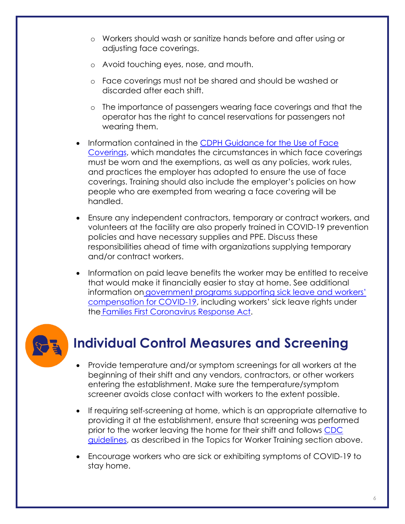- o Workers should wash or sanitize hands before and after using or adjusting face coverings.
- o Avoid touching eyes, nose, and mouth.
- o Face coverings must not be shared and should be washed or discarded after each shift.
- o The importance of passengers wearing face coverings and that the operator has the right to cancel reservations for passengers not wearing them.
- Information contained in the [CDPH Guidance for the Use of Face](https://www.cdph.ca.gov/Programs/CID/DCDC/CDPH%20Document%20Library/COVID-19/Guidance-for-Face-Coverings_06-18-2020.pdf) [Coverings,](https://www.cdph.ca.gov/Programs/CID/DCDC/CDPH%20Document%20Library/COVID-19/Guidance-for-Face-Coverings_06-18-2020.pdf) which mandates the circumstances in which face coverings must be worn and the exemptions, as well as any policies, work rules, and practices the employer has adopted to ensure the use of face coverings. Training should also include the employer's policies on how people who are exempted from wearing a face covering will be handled.
- Ensure any independent contractors, temporary or contract workers, and volunteers at the facility are also properly trained in COVID-19 prevention policies and have necessary supplies and PPE. Discuss these responsibilities ahead of time with organizations supplying temporary and/or contract workers.
- Information on paid leave benefits the worker may be entitled to receive that would make it financially easier to stay at home. See additional information on [government](https://www.labor.ca.gov/coronavirus2019/#chart) [programs supporting sick leave and workers'](https://www.labor.ca.gov/coronavirus2019/#chart) [compensation for COVID-19,](https://www.labor.ca.gov/coronavirus2019/#chart) including workers' sick leave rights under th[e](https://www.dol.gov/agencies/whd/pandemic/ffcra-employee-paid-leave) [Families First Coronavirus Response Act.](https://www.dol.gov/agencies/whd/pandemic/ffcra-employee-paid-leave)



# **Individual Control Measures and Screening**

- Provide temperature and/or symptom screenings for all workers at the beginning of their shift and any vendors, contractors, or other workers entering the establishment. Make sure the temperature/symptom screener avoids close contact with workers to the extent possible.
- If requiring self-screening at home, which is an appropriate alternative to providing it at the establishment, ensure that screening was performed prior to the worker leaving the home for their shift and follows [CDC](https://nam04.safelinks.protection.outlook.com/?url=https%3A%2F%2Fwww.cdc.gov%2Fcoronavirus%2F2019-ncov%2Fsymptoms-testing%2Fsymptoms.html&data=02%7C01%7C%7C0e663c4f0cba4038919508d7f530e0d9%7C56b731a8a2ac4c32bf6b616810e913c6%7C1%7C0%7C637247462597521114&sdata=%2BFs3zTA%2BLulYN7LUIa%2F%2F41%2BfiWhX7yKYbv9ci6ognOw%3D&reserved=0) [guidelines,](https://nam04.safelinks.protection.outlook.com/?url=https%3A%2F%2Fwww.cdc.gov%2Fcoronavirus%2F2019-ncov%2Fsymptoms-testing%2Fsymptoms.html&data=02%7C01%7C%7C0e663c4f0cba4038919508d7f530e0d9%7C56b731a8a2ac4c32bf6b616810e913c6%7C1%7C0%7C637247462597521114&sdata=%2BFs3zTA%2BLulYN7LUIa%2F%2F41%2BfiWhX7yKYbv9ci6ognOw%3D&reserved=0) as described in the Topics for Worker Training section above.
- Encourage workers who are sick or exhibiting symptoms of COVID-19 to stay home.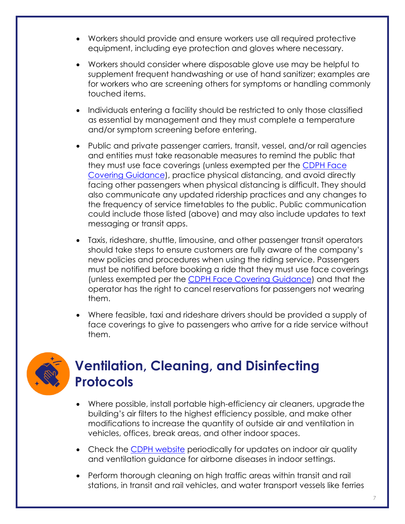- Workers should provide and ensure workers use all required protective equipment, including eye protection and gloves where necessary.
- Workers should consider where disposable glove use may be helpful to supplement frequent handwashing or use of hand sanitizer; examples are for workers who are screening others for symptoms or handling commonly touched items.
- Individuals entering a facility should be restricted to only those classified as essential by management and they must complete a temperature and/or symptom screening before entering.
- Public and private passenger carriers, transit, vessel, and/or rail agencies and entities must take reasonable measures to remind the public that they must use face coverings (unless exempted per the [CDPH Face](https://www.cdph.ca.gov/Programs/CID/DCDC/CDPH%20Document%20Library/COVID-19/Guidance-for-Face-Coverings_06-18-2020.pdf) [Covering Guidance\)](https://www.cdph.ca.gov/Programs/CID/DCDC/CDPH%20Document%20Library/COVID-19/Guidance-for-Face-Coverings_06-18-2020.pdf), practice physical distancing, and avoid directly facing other passengers when physical distancing is difficult. They should also communicate any updated ridership practices and any changes to the frequency of service timetables to the public. Public communication could include those listed (above) and may also include updates to text messaging or transit apps.
- Taxis, rideshare, shuttle, limousine, and other passenger transit operators should take steps to ensure customers are fully aware of the company's new policies and procedures when using the riding service. Passengers must be notified before booking a ride that they must use face coverings (unless exempted per the [CDPH Face Covering Guidance\)](https://www.cdph.ca.gov/Programs/CID/DCDC/CDPH%20Document%20Library/COVID-19/Guidance-for-Face-Coverings_06-18-2020.pdf) and that the operator has the right to cancel reservations for passengers not wearing them.
- Where feasible, taxi and rideshare drivers should be provided a supply of face coverings to give to passengers who arrive for a ride service without them.



### **Ventilation, Cleaning, and Disinfecting Protocols**

- Where possible, install portable high-efficiency air cleaners, upgrade the building's air filters to the highest efficiency possible, and make other modifications to increase the quantity of outside air and ventilation in vehicles, offices, break areas, and other indoor spaces.
- Check the [CDPH website](https://www.cdph.ca.gov/Programs/CCDPHP/DEODC/EHLB/IAQ/Pages/Airborne-Diseases.aspx) periodically for updates on indoor air quality and ventilation guidance for airborne diseases in indoor settings.
- Perform thorough cleaning on high traffic areas within transit and rail stations, in transit and rail vehicles, and water transport vessels like ferries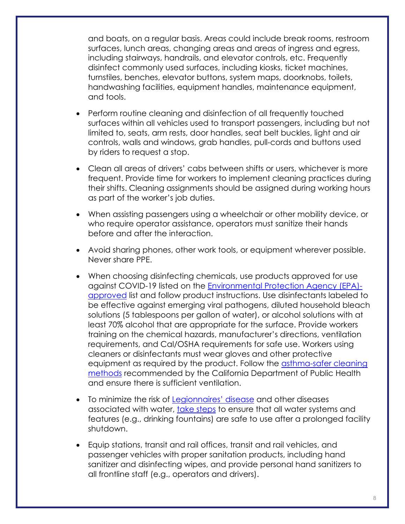and boats, on a regular basis. Areas could include break rooms, restroom surfaces, lunch areas, changing areas and areas of ingress and egress, including stairways, handrails, and elevator controls, etc. Frequently disinfect commonly used surfaces, including kiosks, ticket machines, turnstiles, benches, elevator buttons, system maps, doorknobs, toilets, handwashing facilities, equipment handles, maintenance equipment, and tools.

- Perform routine cleaning and disinfection of all frequently touched surfaces within all vehicles used to transport passengers, including but not limited to, seats, arm rests, door handles, seat belt buckles, light and air controls, walls and windows, grab handles, pull-cords and buttons used by riders to request a stop.
- Clean all areas of drivers' cabs between shifts or users, whichever is more frequent. Provide time for workers to implement cleaning practices during their shifts. Cleaning assignments should be assigned during working hours as part of the worker's job duties.
- When assisting passengers using a wheelchair or other mobility device, or who require operator assistance, operators must sanitize their hands before and after the interaction.
- Avoid sharing phones, other work tools, or equipment wherever possible. Never share PPE.
- When choosing disinfecting chemicals, use products approved for use against COVID-19 listed on the [Environmental Protection Agency \(EPA\)](https://www.epa.gov/pesticide-registration/list-n-disinfectants-use-against-sars-cov-2) [approved](https://www.epa.gov/pesticide-registration/list-n-disinfectants-use-against-sars-cov-2) list and follow product instructions. Use disinfectants labeled to be effective against emerging viral pathogens, diluted household bleach solutions (5 tablespoons per gallon of water), or alcohol solutions with at least 70% alcohol that are appropriate for the surface. Provide workers training on the chemical hazards, manufacturer's directions, ventilation requirements, and Cal/OSHA requirements for safe use. Workers using cleaners or disinfectants must wear gloves and other protective equipment as required by the product. Follow the [asthma-safer cleaning](https://www.cdph.ca.gov/Programs/CCDPHP/DEODC/OHB/Pages/OHWMay2020.aspx)  [methods](https://www.cdph.ca.gov/Programs/CCDPHP/DEODC/OHB/Pages/OHWMay2020.aspx) recommended by the California Department of Public Health and ensure there is sufficient ventilation.
- To minimize the risk of [Legionnaires' disease](https://www.cdc.gov/legionella/index.html) and other diseases associated with water, [take steps](https://www.cdc.gov/coronavirus/2019-ncov/php/building-water-system.html) to ensure that all water systems and features (e.g., drinking fountains) are safe to use after a prolonged facility shutdown.
- Equip stations, transit and rail offices, transit and rail vehicles, and passenger vehicles with proper sanitation products, including hand sanitizer and disinfecting wipes, and provide personal hand sanitizers to all frontline staff (e.g., operators and drivers).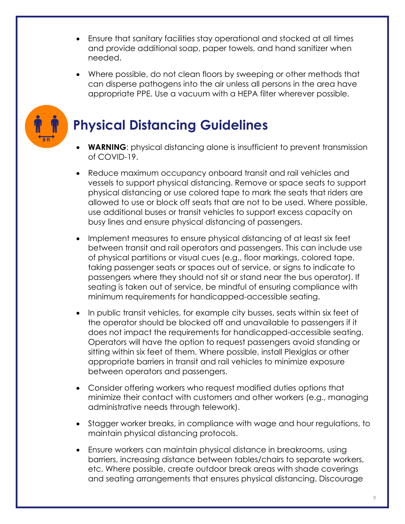- Ensure that sanitary facilities stay operational and stocked at all times and provide additional soap, paper towels, and hand sanitizer when needed.
- Where possible, do not clean floors by sweeping or other methods that can disperse pathogens into the air unless all persons in the area have appropriate PPE. Use a vacuum with a HEPA filter wherever possible.



# **Physical Distancing Guidelines**

- **WARNING:** physical distancing alone is insufficient to prevent transmission of COVID-19.
- Reduce maximum occupancy onboard transit and rail vehicles and vessels to support physical distancing. Remove or space seats to support physical distancing or use colored tape to mark the seats that riders are allowed to use or block off seats that are not to be used. Where possible, use additional buses or transit vehicles to support excess capacity on busy lines and ensure physical distancing of passengers.
- Implement measures to ensure physical distancing of at least six feet between transit and rail operators and passengers. This can include use of physical partitions or visual cues (e.g., floor markings, colored tape, taking passenger seats or spaces out of service, or signs to indicate to passengers where they should not sit or stand near the bus operator). If seating is taken out of service, be mindful of ensuring compliance with minimum requirements for handicapped-accessible seating.
- In public transit vehicles, for example city busses, seats within six feet of the operator should be blocked off and unavailable to passengers if it does not impact the requirements for handicapped-accessible seating. Operators will have the option to request passengers avoid standing or sitting within six feet of them. Where possible, install Plexiglas or other appropriate barriers in transit and rail vehicles to minimize exposure between operators and passengers.
- Consider offering workers who request modified duties options that minimize their contact with customers and other workers (e.g., managing administrative needs through telework).
- Stagger worker breaks, in compliance with wage and hour regulations, to maintain physical distancing protocols.
- Ensure workers can maintain physical distance in breakrooms, using barriers, increasing distance between tables/chairs to separate workers, etc. Where possible, create outdoor break areas with shade coverings and seating arrangements that ensures physical distancing. Discourage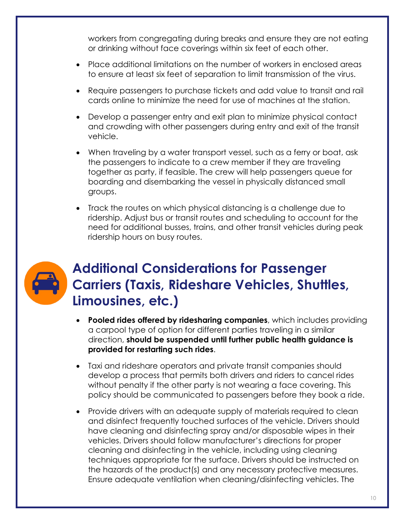workers from congregating during breaks and ensure they are not eating or drinking without face coverings within six feet of each other.

- Place additional limitations on the number of workers in enclosed areas to ensure at least six feet of separation to limit transmission of the virus.
- Require passengers to purchase tickets and add value to transit and rail cards online to minimize the need for use of machines at the station.
- Develop a passenger entry and exit plan to minimize physical contact and crowding with other passengers during entry and exit of the transit vehicle.
- When traveling by a water transport vessel, such as a ferry or boat, ask the passengers to indicate to a crew member if they are traveling together as party, if feasible. The crew will help passengers queue for boarding and disembarking the vessel in physically distanced small groups.
- Track the routes on which physical distancing is a challenge due to ridership. Adjust bus or transit routes and scheduling to account for the need for additional busses, trains, and other transit vehicles during peak ridership hours on busy routes.



# **Additional Considerations for Passenger Carriers (Taxis, Rideshare Vehicles, Shuttles, Limousines, etc.)**

- **Pooled rides offered by ridesharing companies**, which includes providing a carpool type of option for different parties traveling in a similar direction, **should be suspended until further public health guidance is provided for restarting such rides**.
- Taxi and rideshare operators and private transit companies should develop a process that permits both drivers and riders to cancel rides without penalty if the other party is not wearing a face covering. This policy should be communicated to passengers before they book a ride.
- Provide drivers with an adequate supply of materials required to clean and disinfect frequently touched surfaces of the vehicle. Drivers should have cleaning and disinfecting spray and/or disposable wipes in their vehicles. Drivers should follow manufacturer's directions for proper cleaning and disinfecting in the vehicle, including using cleaning techniques appropriate for the surface. Drivers should be instructed on the hazards of the product(s) and any necessary protective measures. Ensure adequate ventilation when cleaning/disinfecting vehicles. The